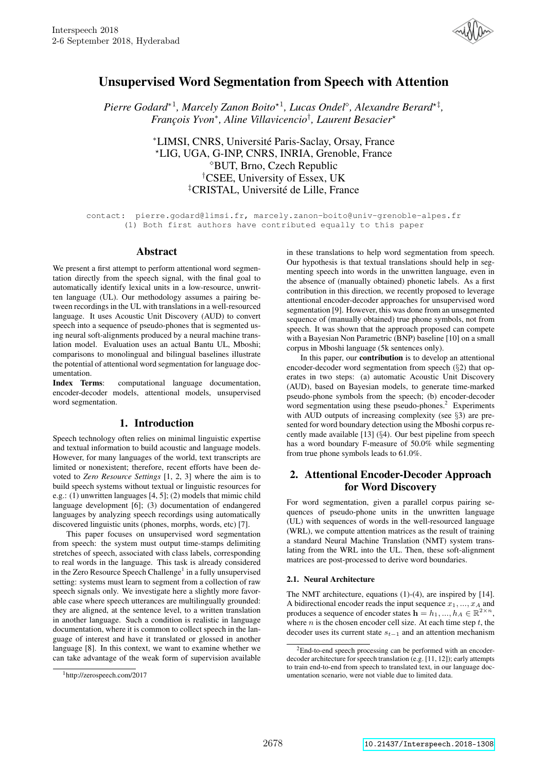

# Unsupervised Word Segmentation from Speech with Attention

*Pierre Godard*<sup>\*1</sup>, *Marcely Zanon Boito*<sup>\*1</sup>, *Lucas Ondel*<sup>°</sup>, *Alexandre Berard*<sup>\*‡</sup>, *Franc¸ois Yvon*<sup>∗</sup> *, Aline Villavicencio*† *, Laurent Besacier*?

> <sup>∗</sup>LIMSI, CNRS, Universite Paris-Saclay, Orsay, France ´ ?LIG, UGA, G-INP, CNRS, INRIA, Grenoble, France BUT, Brno, Czech Republic †CSEE, University of Essex, UK <sup>‡</sup>CRISTAL, Université de Lille, France

contact: pierre.godard@limsi.fr, marcely.zanon-boito@univ-grenoble-alpes.fr (1) Both first authors have contributed equally to this paper

# Abstract

We present a first attempt to perform attentional word segmentation directly from the speech signal, with the final goal to automatically identify lexical units in a low-resource, unwritten language (UL). Our methodology assumes a pairing between recordings in the UL with translations in a well-resourced language. It uses Acoustic Unit Discovery (AUD) to convert speech into a sequence of pseudo-phones that is segmented using neural soft-alignments produced by a neural machine translation model. Evaluation uses an actual Bantu UL, Mboshi; comparisons to monolingual and bilingual baselines illustrate the potential of attentional word segmentation for language documentation.

Index Terms: computational language documentation, encoder-decoder models, attentional models, unsupervised word segmentation.

# 1. Introduction

Speech technology often relies on minimal linguistic expertise and textual information to build acoustic and language models. However, for many languages of the world, text transcripts are limited or nonexistent; therefore, recent efforts have been devoted to *Zero Resource Settings* [1, 2, 3] where the aim is to build speech systems without textual or linguistic resources for e.g.: (1) unwritten languages [4, 5]; (2) models that mimic child language development [6]; (3) documentation of endangered languages by analyzing speech recordings using automatically discovered linguistic units (phones, morphs, words, etc) [7].

This paper focuses on unsupervised word segmentation from speech: the system must output time-stamps delimiting stretches of speech, associated with class labels, corresponding to real words in the language. This task is already considered in the Zero Resource Speech Challenge<sup>1</sup> in a fully unsupervised setting: systems must learn to segment from a collection of raw speech signals only. We investigate here a slightly more favorable case where speech utterances are multilingually grounded: they are aligned, at the sentence level, to a written translation in another language. Such a condition is realistic in language documentation, where it is common to collect speech in the language of interest and have it translated or glossed in another language [8]. In this context, we want to examine whether we can take advantage of the weak form of supervision available

in these translations to help word segmentation from speech. Our hypothesis is that textual translations should help in segmenting speech into words in the unwritten language, even in the absence of (manually obtained) phonetic labels. As a first contribution in this direction, we recently proposed to leverage attentional encoder-decoder approaches for unsupervised word segmentation [9]. However, this was done from an unsegmented sequence of (manually obtained) true phone symbols, not from speech. It was shown that the approach proposed can compete with a Bayesian Non Parametric (BNP) baseline [10] on a small corpus in Mboshi language (5k sentences only).

In this paper, our contribution is to develop an attentional encoder-decoder word segmentation from speech (§2) that operates in two steps: (a) automatic Acoustic Unit Discovery (AUD), based on Bayesian models, to generate time-marked pseudo-phone symbols from the speech; (b) encoder-decoder word segmentation using these pseudo-phones.<sup>2</sup> Experiments with AUD outputs of increasing complexity (see §3) are presented for word boundary detection using the Mboshi corpus recently made available [13] (§4). Our best pipeline from speech has a word boundary F-measure of 50.0% while segmenting from true phone symbols leads to 61.0%.

# 2. Attentional Encoder-Decoder Approach for Word Discovery

For word segmentation, given a parallel corpus pairing sequences of pseudo-phone units in the unwritten language (UL) with sequences of words in the well-resourced language (WRL), we compute attention matrices as the result of training a standard Neural Machine Translation (NMT) system translating from the WRL into the UL. Then, these soft-alignment matrices are post-processed to derive word boundaries.

### 2.1. Neural Architecture

The NMT architecture, equations (1)-(4), are inspired by [14]. A bidirectional encoder reads the input sequence  $x_1, ..., x_A$  and produces a sequence of encoder states  $\mathbf{h} = h_1, ..., h_A \in \mathbb{R}^{2 \times n}$ , where  $n$  is the chosen encoder cell size. At each time step  $t$ , the decoder uses its current state  $s_{t-1}$  and an attention mechanism

<sup>1</sup>http://zerospeech.com/2017

<sup>2</sup>End-to-end speech processing can be performed with an encoderdecoder architecture for speech translation (e.g. [11, 12]); early attempts to train end-to-end from speech to translated text, in our language documentation scenario, were not viable due to limited data.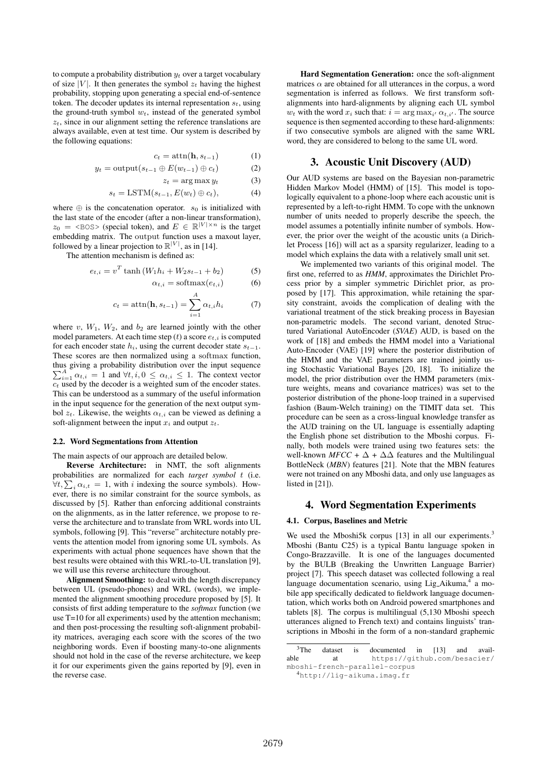to compute a probability distribution  $y_t$  over a target vocabulary of size |V|. It then generates the symbol  $z_t$  having the highest probability, stopping upon generating a special end-of-sentence token. The decoder updates its internal representation  $s_t$ , using the ground-truth symbol  $w_t$ , instead of the generated symbol  $z_t$ , since in our alignment setting the reference translations are always available, even at test time. Our system is described by the following equations:

$$
c_t = \operatorname{attn}(\mathbf{h}, s_{t-1}) \tag{1}
$$

$$
y_t = \text{output}(s_{t-1} \oplus E(w_{t-1}) \oplus c_t)
$$
 (2)

$$
z_t = \arg\max y_t \tag{3}
$$

$$
s_t = \text{LSTM}(s_{t-1}, E(w_t) \oplus c_t), \tag{4}
$$

where  $\oplus$  is the concatenation operator.  $s_0$  is initialized with the last state of the encoder (after a non-linear transformation),  $z_0 = \langle \text{BOS} \rangle$  (special token), and  $E \in \mathbb{R}^{|V| \times n}$  is the target embedding matrix. The output function uses a maxout layer, followed by a linear projection to  $\mathbb{R}^{|V|}$ , as in [14].

The attention mechanism is defined as:

$$
e_{t,i} = v^T \tanh (W_1 h_i + W_2 s_{t-1} + b_2)
$$
 (5)  

$$
\alpha_{t,i} = \text{softmax}(e_{t,i})
$$
 (6)

$$
c_t = \operatorname{attn}(\mathbf{h}, s_{t-1}) = \sum_{i=1}^{A} \alpha_{t,i} h_i \tag{7}
$$

where v,  $W_1$ ,  $W_2$ , and  $b_2$  are learned jointly with the other model parameters. At each time step  $(t)$  a score  $e_t$  is computed for each encoder state  $h_i$ , using the current decoder state  $s_{t-1}$ . These scores are then normalized using a softmax function, thus giving a probability distribution over the input sequence  $\sum_{i=1}^{A} \alpha_{t,i} = 1$  and  $\forall t, i, 0 \leq \alpha_{t,i} \leq 1$ . The context vector  $c_t$  used by the decoder is a weighted sum of the encoder states. This can be understood as a summary of the useful information in the input sequence for the generation of the next output symbol  $z_t$ . Likewise, the weights  $\alpha_{t,i}$  can be viewed as defining a soft-alignment between the input  $x_i$  and output  $z_t$ .

#### 2.2. Word Segmentations from Attention

The main aspects of our approach are detailed below.

Reverse Architecture: in NMT, the soft alignments probabilities are normalized for each *target symbol* t (i.e.  $\forall t, \sum_i \alpha_{i,t} = 1$ , with i indexing the source symbols). However, there is no similar constraint for the source symbols, as discussed by [5]. Rather than enforcing additional constraints on the alignments, as in the latter reference, we propose to reverse the architecture and to translate from WRL words into UL symbols, following [9]. This "reverse" architecture notably prevents the attention model from ignoring some UL symbols. As experiments with actual phone sequences have shown that the best results were obtained with this WRL-to-UL translation [9], we will use this reverse architecture throughout.

Alignment Smoothing: to deal with the length discrepancy between UL (pseudo-phones) and WRL (words), we implemented the alignment smoothing procedure proposed by [5]. It consists of first adding temperature to the *softmax* function (we use T=10 for all experiments) used by the attention mechanism; and then post-processing the resulting soft-alignment probability matrices, averaging each score with the scores of the two neighboring words. Even if boosting many-to-one alignments should not hold in the case of the reverse architecture, we keep it for our experiments given the gains reported by [9], even in the reverse case.

Hard Segmentation Generation: once the soft-alignment matrices  $\alpha$  are obtained for all utterances in the corpus, a word segmentation is inferred as follows. We first transform softalignments into hard-alignments by aligning each UL symbol  $w_t$  with the word  $x_i$  such that:  $i = \arg \max_{i'} \alpha_{t,i'}$ . The source sequence is then segmented according to these hard-alignments: if two consecutive symbols are aligned with the same WRL word, they are considered to belong to the same UL word.

### 3. Acoustic Unit Discovery (AUD)

Our AUD systems are based on the Bayesian non-parametric Hidden Markov Model (HMM) of [15]. This model is topologically equivalent to a phone-loop where each acoustic unit is represented by a left-to-right HMM. To cope with the unknown number of units needed to properly describe the speech, the model assumes a potentially infinite number of symbols. However, the prior over the weight of the acoustic units (a Dirichlet Process [16]) will act as a sparsity regularizer, leading to a model which explains the data with a relatively small unit set.

We implemented two variants of this original model. The first one, referred to as *HMM*, approximates the Dirichlet Process prior by a simpler symmetric Dirichlet prior, as proposed by [17]. This approximation, while retaining the sparsity constraint, avoids the complication of dealing with the variational treatment of the stick breaking process in Bayesian non-parametric models. The second variant, denoted Structured Variational AutoEncoder (*SVAE*) AUD, is based on the work of [18] and embeds the HMM model into a Variational Auto-Encoder (VAE) [19] where the posterior distribution of the HMM and the VAE parameters are trained jointly using Stochastic Variational Bayes [20, 18]. To initialize the model, the prior distribution over the HMM parameters (mixture weights, means and covariance matrices) was set to the posterior distribution of the phone-loop trained in a supervised fashion (Baum-Welch training) on the TIMIT data set. This procedure can be seen as a cross-lingual knowledge transfer as the AUD training on the UL language is essentially adapting the English phone set distribution to the Mboshi corpus. Finally, both models were trained using two features sets: the well-known *MFCC* +  $\Delta$  +  $\Delta\Delta$  features and the Multilingual BottleNeck (*MBN*) features [21]. Note that the MBN features were not trained on any Mboshi data, and only use languages as listed in [21]).

### 4. Word Segmentation Experiments

#### 4.1. Corpus, Baselines and Metric

We used the Mboshi5k corpus [13] in all our experiments.<sup>3</sup> Mboshi (Bantu C25) is a typical Bantu language spoken in Congo-Brazzaville. It is one of the languages documented by the BULB (Breaking the Unwritten Language Barrier) project [7]. This speech dataset was collected following a real language documentation scenario, using Lig\_Aikuma,<sup>4</sup> a mobile app specifically dedicated to fieldwork language documentation, which works both on Android powered smartphones and tablets [8]. The corpus is multilingual (5,130 Mboshi speech utterances aligned to French text) and contains linguists' transcriptions in Mboshi in the form of a non-standard graphemic

<sup>&</sup>lt;sup>3</sup>The dataset is documented in [13] and available at https://github.com/besacier/ mboshi-french-parallel-corpus

<sup>4</sup>http://lig-aikuma.imag.fr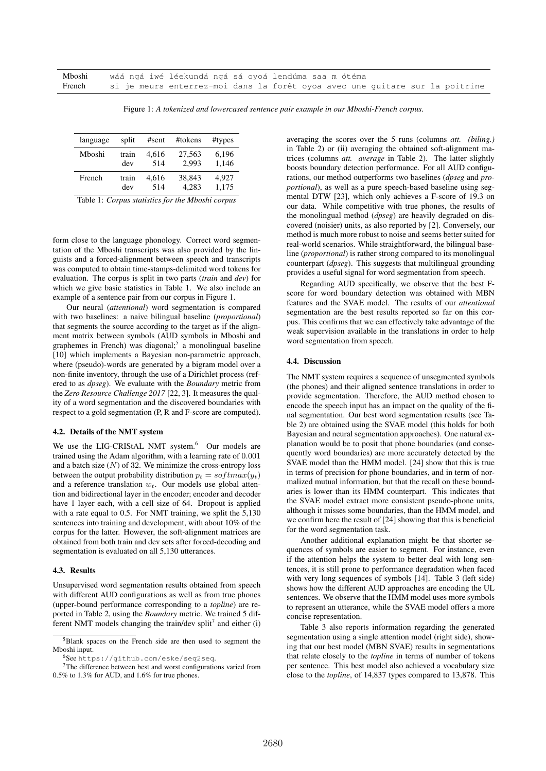| Mboshi | wáá ngá iwé léekundá ngá sá oyoá lendúma saa m ótéma                         |
|--------|------------------------------------------------------------------------------|
| French | si je meurs enterrez-moi dans la forêt oyoa avec une quitare sur la poitrine |

Figure 1: *A tokenized and lowercased sentence pair example in our Mboshi-French corpus.*

| language | split | #sent | #tokens | #types |
|----------|-------|-------|---------|--------|
| Mboshi   | train | 4.616 | 27,563  | 6,196  |
|          | dev   | 514   | 2.993   | 1,146  |
| French   | train | 4.616 | 38.843  | 4.927  |
|          | dev   | 514   | 4.283   | 1,175  |

Table 1: *Corpus statistics for the Mboshi corpus*

form close to the language phonology. Correct word segmentation of the Mboshi transcripts was also provided by the linguists and a forced-alignment between speech and transcripts was computed to obtain time-stamps-delimited word tokens for evaluation. The corpus is split in two parts (*train* and *dev*) for which we give basic statistics in Table 1. We also include an example of a sentence pair from our corpus in Figure 1.

Our neural (*attentional*) word segmentation is compared with two baselines: a naive bilingual baseline (*proportional*) that segments the source according to the target as if the alignment matrix between symbols (AUD symbols in Mboshi and graphemes in French) was diagonal;<sup>5</sup> a monolingual baseline [10] which implements a Bayesian non-parametric approach, where (pseudo)-words are generated by a bigram model over a non-finite inventory, through the use of a Dirichlet process (refered to as *dpseg*). We evaluate with the *Boundary* metric from the *Zero Resource Challenge 2017* [22, 3]. It measures the quality of a word segmentation and the discovered boundaries with respect to a gold segmentation (P, R and F-score are computed).

#### 4.2. Details of the NMT system

We use the LIG-CRIStAL NMT system.<sup>6</sup> Our models are trained using the Adam algorithm, with a learning rate of 0.001 and a batch size  $(N)$  of 32. We minimize the cross-entropy loss between the output probability distribution  $p_t = softmax(y_t)$ and a reference translation  $w_t$ . Our models use global attention and bidirectional layer in the encoder; encoder and decoder have 1 layer each, with a cell size of 64. Dropout is applied with a rate equal to 0.5. For NMT training, we split the 5,130 sentences into training and development, with about 10% of the corpus for the latter. However, the soft-alignment matrices are obtained from both train and dev sets after forced-decoding and segmentation is evaluated on all 5,130 utterances.

#### 4.3. Results

Unsupervised word segmentation results obtained from speech with different AUD configurations as well as from true phones (upper-bound performance corresponding to a *topline*) are reported in Table 2, using the *Boundary* metric. We trained 5 different NMT models changing the train/dev split<sup>7</sup> and either  $(i)$ 

averaging the scores over the 5 runs (columns *att. (biling.)* in Table 2) or (ii) averaging the obtained soft-alignment matrices (columns *att. average* in Table 2). The latter slightly boosts boundary detection performance. For all AUD configurations, our method outperforms two baselines (*dpseg* and *proportional*), as well as a pure speech-based baseline using segmental DTW [23], which only achieves a F-score of 19.3 on our data. While competitive with true phones, the results of the monolingual method (*dpseg*) are heavily degraded on discovered (noisier) units, as also reported by [2]. Conversely, our method is much more robust to noise and seems better suited for real-world scenarios. While straightforward, the bilingual baseline (*proportional*) is rather strong compared to its monolingual counterpart (*dpseg*). This suggests that multilingual grounding provides a useful signal for word segmentation from speech.

Regarding AUD specifically, we observe that the best Fscore for word boundary detection was obtained with MBN features and the SVAE model. The results of our *attentional* segmentation are the best results reported so far on this corpus. This confirms that we can effectively take advantage of the weak supervision available in the translations in order to help word segmentation from speech.

#### 4.4. Discussion

The NMT system requires a sequence of unsegmented symbols (the phones) and their aligned sentence translations in order to provide segmentation. Therefore, the AUD method chosen to encode the speech input has an impact on the quality of the final segmentation. Our best word segmentation results (see Table 2) are obtained using the SVAE model (this holds for both Bayesian and neural segmentation approaches). One natural explanation would be to posit that phone boundaries (and consequently word boundaries) are more accurately detected by the SVAE model than the HMM model. [24] show that this is true in terms of precision for phone boundaries, and in term of normalized mutual information, but that the recall on these boundaries is lower than its HMM counterpart. This indicates that the SVAE model extract more consistent pseudo-phone units, although it misses some boundaries, than the HMM model, and we confirm here the result of [24] showing that this is beneficial for the word segmentation task.

Another additional explanation might be that shorter sequences of symbols are easier to segment. For instance, even if the attention helps the system to better deal with long sentences, it is still prone to performance degradation when faced with very long sequences of symbols [14]. Table 3 (left side) shows how the different AUD approaches are encoding the UL sentences. We observe that the HMM model uses more symbols to represent an utterance, while the SVAE model offers a more concise representation.

Table 3 also reports information regarding the generated segmentation using a single attention model (right side), showing that our best model (MBN SVAE) results in segmentations that relate closely to the *topline* in terms of number of tokens per sentence. This best model also achieved a vocabulary size close to the *topline*, of 14,837 types compared to 13,878. This

<sup>5</sup>Blank spaces on the French side are then used to segment the Mboshi input.

<sup>6</sup>See https://github.com/eske/seq2seq.

<sup>7</sup>The difference between best and worst configurations varied from 0.5% to 1.3% for AUD, and 1.6% for true phones.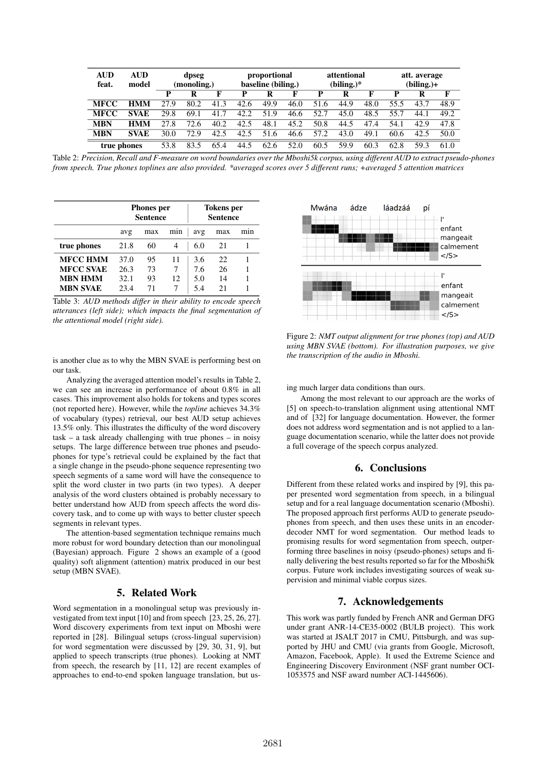| <b>AUD</b><br>feat. | <b>AUD</b><br>model | dpseg<br>(monoling.) |      | proportional<br>baseline (biling.) |      | attentional<br>$(biling.)^*$ |      |      | att. average<br>$(biling.)+$ |      |      |      |      |
|---------------------|---------------------|----------------------|------|------------------------------------|------|------------------------------|------|------|------------------------------|------|------|------|------|
|                     |                     | D                    |      | Е                                  |      | R                            |      | D    | R                            |      | p    | R    | F    |
| <b>MFCC</b>         | <b>HMM</b>          | 27.9                 | 80.2 | 41.3                               | 42.6 | 49.9                         | 46.0 | 51.6 | 44.9                         | 48.0 | 55.5 | 43.7 | 48.9 |
| <b>MFCC</b>         | <b>SVAE</b>         | 29.8                 | 69.1 | 41.7                               | 42.2 | 51.9                         | 46.6 | 52.7 | 45.0                         | 48.5 | 55.7 | 44.1 | 49.2 |
| <b>MBN</b>          | <b>HMM</b>          | 27.8                 | 72.6 | 40.2                               | 42.5 | 48.1                         | 45.2 | 50.8 | 44.5                         | 47.4 | 54.1 | 42.9 | 47.8 |
| <b>MBN</b>          | <b>SVAE</b>         | 30.0                 | 72.9 | 42.5                               | 42.5 | 51.6                         | 46.6 | 57.2 | 43.0                         | 49.1 | 60.6 | 42.5 | 50.0 |
| true phones         |                     | 53.8                 |      | 65.4                               | 44.5 | 62.6                         | 52.0 | 60.5 | 59.9                         | 60.3 | 62.8 | 59.  | 61.0 |

Table 2: *Precision, Recall and F-measure on word boundaries over the Mboshi5k corpus, using different AUD to extract pseudo-phones from speech. True phones toplines are also provided. \*averaged scores over 5 different runs; +averaged 5 attention matrices*

|                  |      | <b>Phones</b> per<br><b>Sentence</b> |     | <b>Tokens</b> per<br><b>Sentence</b> |     |     |  |
|------------------|------|--------------------------------------|-----|--------------------------------------|-----|-----|--|
|                  | avg  | max                                  | mın | avg                                  | max | mın |  |
| true phones      | 21.8 | 60                                   | 4   | 6.0                                  | 21  |     |  |
| <b>MFCC HMM</b>  | 37.0 | 95                                   | 11  | 3.6                                  | 22  |     |  |
| <b>MFCC SVAE</b> | 26.3 | 73                                   | 7   | 7.6                                  | 26  |     |  |
| MBN HMM          | 32.1 | 93                                   | 12  | 5.0                                  | 14  |     |  |
| <b>MBN SVAE</b>  | 23.4 | 71                                   |     | 5.4                                  | 21  |     |  |

Table 3: *AUD methods differ in their ability to encode speech utterances (left side); which impacts the final segmentation of the attentional model (right side).*

is another clue as to why the MBN SVAE is performing best on our task.

Analyzing the averaged attention model's results in Table 2, we can see an increase in performance of about 0.8% in all cases. This improvement also holds for tokens and types scores (not reported here). However, while the *topline* achieves 34.3% of vocabulary (types) retrieval, our best AUD setup achieves 13.5% only. This illustrates the difficulty of the word discovery task – a task already challenging with true phones – in noisy setups. The large difference between true phones and pseudophones for type's retrieval could be explained by the fact that a single change in the pseudo-phone sequence representing two speech segments of a same word will have the consequence to split the word cluster in two parts (in two types). A deeper analysis of the word clusters obtained is probably necessary to better understand how AUD from speech affects the word discovery task, and to come up with ways to better cluster speech segments in relevant types.

The attention-based segmentation technique remains much more robust for word boundary detection than our monolingual (Bayesian) approach. Figure 2 shows an example of a (good quality) soft alignment (attention) matrix produced in our best setup (MBN SVAE).

# 5. Related Work

Word segmentation in a monolingual setup was previously investigated from text input [10] and from speech [23, 25, 26, 27]. Word discovery experiments from text input on Mboshi were reported in [28]. Bilingual setups (cross-lingual supervision) for word segmentation were discussed by [29, 30, 31, 9], but applied to speech transcripts (true phones). Looking at NMT from speech, the research by [11, 12] are recent examples of approaches to end-to-end spoken language translation, but us-



Figure 2: *NMT output alignment for true phones (top) and AUD using MBN SVAE (bottom). For illustration purposes, we give the transcription of the audio in Mboshi.*

ing much larger data conditions than ours.

Among the most relevant to our approach are the works of [5] on speech-to-translation alignment using attentional NMT and of [32] for language documentation. However, the former does not address word segmentation and is not applied to a language documentation scenario, while the latter does not provide a full coverage of the speech corpus analyzed.

# 6. Conclusions

Different from these related works and inspired by [9], this paper presented word segmentation from speech, in a bilingual setup and for a real language documentation scenario (Mboshi). The proposed approach first performs AUD to generate pseudophones from speech, and then uses these units in an encoderdecoder NMT for word segmentation. Our method leads to promising results for word segmentation from speech, outperforming three baselines in noisy (pseudo-phones) setups and finally delivering the best results reported so far for the Mboshi5k corpus. Future work includes investigating sources of weak supervision and minimal viable corpus sizes.

### 7. Acknowledgements

This work was partly funded by French ANR and German DFG under grant ANR-14-CE35-0002 (BULB project). This work was started at JSALT 2017 in CMU, Pittsburgh, and was supported by JHU and CMU (via grants from Google, Microsoft, Amazon, Facebook, Apple). It used the Extreme Science and Engineering Discovery Environment (NSF grant number OCI-1053575 and NSF award number ACI-1445606).